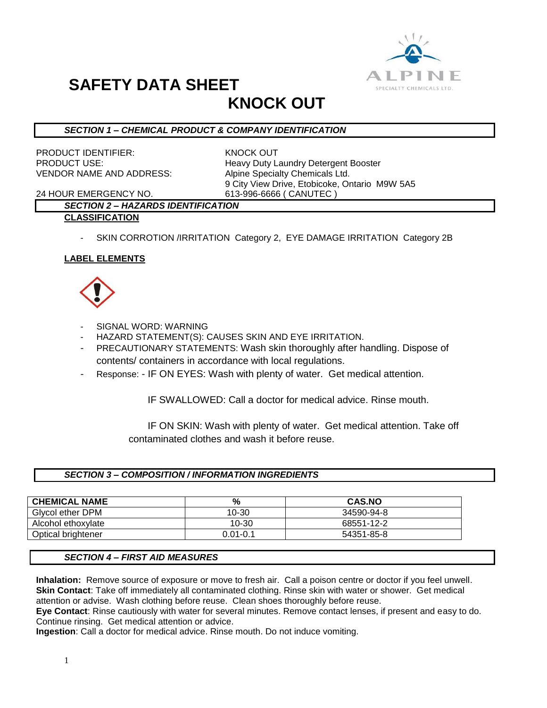

# **SAFETY DATA SHEET**

## **KNOCK OUT**

#### *SECTION 1 – CHEMICAL PRODUCT & COMPANY IDENTIFICATION*

PRODUCT IDENTIFIER: KNOCK OUT VENDOR NAME AND ADDRESS: Alpine Specialty Chemicals Ltd.

PRODUCT USE: Heavy Duty Laundry Detergent Booster 9 City View Drive, Etobicoke, Ontario M9W 5A5 24 HOUR EMERGENCY NO. 613-996-6666 ( CANUTEC )

#### *SECTION 2 – HAZARDS IDENTIFICATION* **CLASSIFICATION**

SKIN CORROTION /IRRITATION Category 2, EYE DAMAGE IRRITATION Category 2B

#### **LABEL ELEMENTS**



- SIGNAL WORD: WARNING
- HAZARD STATEMENT(S): CAUSES SKIN AND EYE IRRITATION.
- PRECAUTIONARY STATEMENTS: Wash skin thoroughly after handling. Dispose of contents/ containers in accordance with local regulations.
- Response: IF ON EYES: Wash with plenty of water. Get medical attention.

IF SWALLOWED: Call a doctor for medical advice. Rinse mouth.

 IF ON SKIN: Wash with plenty of water. Get medical attention. Take off contaminated clothes and wash it before reuse.

#### *SECTION 3 – COMPOSITION / INFORMATION INGREDIENTS*

| <b>CHEMICAL NAME</b> | %            | <b>CAS.NO</b> |
|----------------------|--------------|---------------|
| Givcol ether DPM     | 10-30        | 34590-94-8    |
| Alcohol ethoxylate   | 10-30        | 68551-12-2    |
| Optical brightener   | $0.01 - 0.1$ | 54351-85-8    |

#### *SECTION 4 – FIRST AID MEASURES*

**Inhalation:** Remove source of exposure or move to fresh air. Call a poison centre or doctor if you feel unwell. **Skin Contact**: Take off immediately all contaminated clothing. Rinse skin with water or shower. Get medical attention or advise. Wash clothing before reuse. Clean shoes thoroughly before reuse.

**Eye Contact**: Rinse cautiously with water for several minutes. Remove contact lenses, if present and easy to do. Continue rinsing. Get medical attention or advice.

**Ingestion**: Call a doctor for medical advice. Rinse mouth. Do not induce vomiting.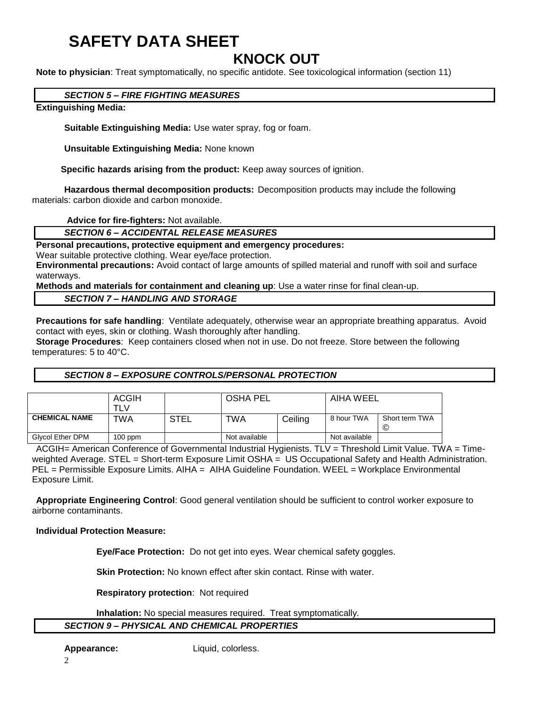# **SAFETY DATA SHEET**

### **KNOCK OUT**

**Note to physician**: Treat symptomatically, no specific antidote. See toxicological information (section 11)

#### *SECTION 5 – FIRE FIGHTING MEASURES*

#### **Extinguishing Media:**

**Suitable Extinguishing Media:** Use water spray, fog or foam.

**Unsuitable Extinguishing Media:** None known

 **Specific hazards arising from the product:** Keep away sources of ignition.

**Hazardous thermal decomposition products:** Decomposition products may include the following materials: carbon dioxide and carbon monoxide.

**Advice for fire-fighters:** Not available.

*SECTION 6 – ACCIDENTAL RELEASE MEASURES*

#### **Personal precautions, protective equipment and emergency procedures:**

Wear suitable protective clothing. Wear eye/face protection.

**Environmental precautions:** Avoid contact of large amounts of spilled material and runoff with soil and surface waterways.

**Methods and materials for containment and cleaning up**: Use a water rinse for final clean-up.

#### *SECTION 7 – HANDLING AND STORAGE*

**Precautions for safe handling**: Ventilate adequately, otherwise wear an appropriate breathing apparatus. Avoid contact with eyes, skin or clothing. Wash thoroughly after handling.

**Storage Procedures**: Keep containers closed when not in use. Do not freeze. Store between the following temperatures: 5 to 40°C.

#### *SECTION 8 – EXPOSURE CONTROLS/PERSONAL PROTECTION*

|                         | <b>ACGIH</b><br>TLV |      | <b>OSHA PEL</b> |         | AIHA WEEL     |                     |
|-------------------------|---------------------|------|-----------------|---------|---------------|---------------------|
| <b>CHEMICAL NAME</b>    | TWA                 | STEL | TWA             | Ceiling | 8 hour TWA    | Short term TWA<br>© |
| <b>Glycol Ether DPM</b> | $100$ ppm           |      | Not available   |         | Not available |                     |

ACGIH= American Conference of Governmental Industrial Hygienists. TLV = Threshold Limit Value. TWA = Timeweighted Average. STEL = Short-term Exposure Limit OSHA = US Occupational Safety and Health Administration. PEL = Permissible Exposure Limits. AIHA = AIHA Guideline Foundation. WEEL = Workplace Environmental Exposure Limit.

**Appropriate Engineering Control**: Good general ventilation should be sufficient to control worker exposure to airborne contaminants.

#### **Individual Protection Measure:**

**Eye/Face Protection:** Do not get into eyes. Wear chemical safety goggles.

**Skin Protection:** No known effect after skin contact. Rinse with water.

**Respiratory protection**: Not required

**Inhalation:** No special measures required. Treat symptomatically. *SECTION 9 – PHYSICAL AND CHEMICAL PROPERTIES*

**Appearance:** Liquid, colorless.

2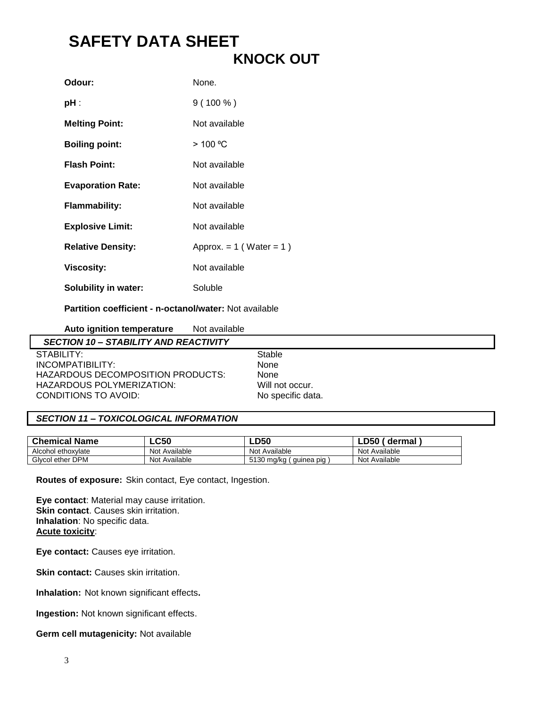## **SAFETY DATA SHEET KNOCK OUT**

| Odour:                      | None.                        |
|-----------------------------|------------------------------|
| pH :                        | $9(100\%)$                   |
| <b>Melting Point:</b>       | Not available                |
| <b>Boiling point:</b>       | $>$ 100 °C                   |
| <b>Flash Point:</b>         | Not available                |
| <b>Evaporation Rate:</b>    | Not available                |
| <b>Flammability:</b>        | Not available                |
| <b>Explosive Limit:</b>     | Not available                |
| <b>Relative Density:</b>    | Approx. = $1$ (Water = $1$ ) |
| <b>Viscosity:</b>           | Not available                |
| <b>Solubility in water:</b> | Soluble                      |

**Partition coefficient - n-octanol/water:** Not available

| Auto ignition temperature<br>Not available   |                   |
|----------------------------------------------|-------------------|
| <b>SECTION 10 - STABILITY AND REACTIVITY</b> |                   |
| STABILITY:                                   | Stable            |
| INCOMPATIBILITY:                             | None              |
| HAZARDOUS DECOMPOSITION PRODUCTS:            | None              |
| HAZARDOUS POLYMERIZATION:                    | Will not occur.   |
| CONDITIONS TO AVOID:                         | No specific data. |

#### *SECTION 11 – TOXICOLOGICAL INFORMATION*

| <b>Chemical Name</b> | <b>LC50</b>   | <b>LD50</b>              | dermal        |
|----------------------|---------------|--------------------------|---------------|
| Alcohol ethoxylate   | Not Available | Not Available            | Not Available |
| Givcol ether DPM     | Not Available | 5130 mg/kg<br>guinea pig | Not Available |

**Routes of exposure:** Skin contact, Eye contact, Ingestion.

**Eye contact**: Material may cause irritation. **Skin contact**. Causes skin irritation. **Inhalation**: No specific data. **Acute toxicity**:

**Eye contact:** Causes eye irritation.

**Skin contact:** Causes skin irritation.

**Inhalation:** Not known significant effects**.**

**Ingestion:** Not known significant effects.

**Germ cell mutagenicity:** Not available